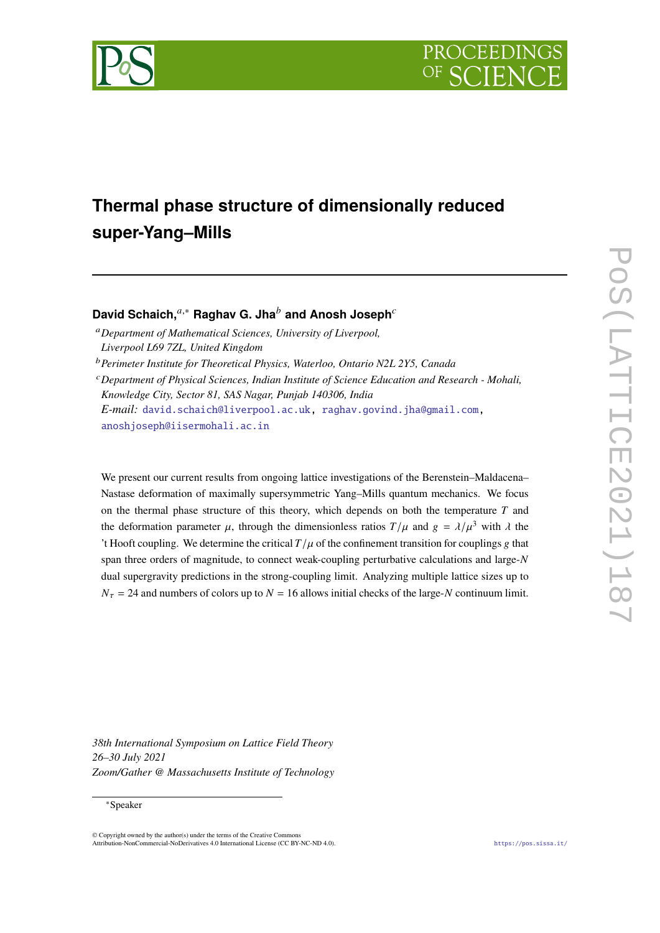

# **Thermal phase structure of dimensionally reduced super-Yang–Mills**

## David Schaich,<sup>*a*,∗</sup> Raghav G. Jha<sup>*b*</sup> and Anosh Joseph<sup>*c*</sup>

*Department of Mathematical Sciences, University of Liverpool, Liverpool L69 7ZL, United Kingdom*

*Perimeter Institute for Theoretical Physics, Waterloo, Ontario N2L 2Y5, Canada*

*Department of Physical Sciences, Indian Institute of Science Education and Research - Mohali, Knowledge City, Sector 81, SAS Nagar, Punjab 140306, India E-mail:* [david.schaich@liverpool.ac.uk,](mailto:david.schaich@liverpool.ac.uk) [raghav.govind.jha@gmail.com,](mailto:raghav.govind.jha@gmail.com) [anoshjoseph@iisermohali.ac.in](mailto:anoshjoseph@iisermohali.ac.in)

We present our current results from ongoing lattice investigations of the Berenstein–Maldacena– Nastase deformation of maximally supersymmetric Yang–Mills quantum mechanics. We focus on the thermal phase structure of this theory, which depends on both the temperature  $T$  and the deformation parameter  $\mu$ , through the dimensionless ratios  $T/\mu$  and  $g = \lambda/\mu^3$  with  $\lambda$  the 't Hooft coupling. We determine the critical  $T/\mu$  of the confinement transition for couplings g that span three orders of magnitude, to connect weak-coupling perturbative calculations and large-N dual supergravity predictions in the strong-coupling limit. Analyzing multiple lattice sizes up to  $N_{\tau} = 24$  and numbers of colors up to  $N = 16$  allows initial checks of the large-N continuum limit.

*38th International Symposium on Lattice Field Theory 26–30 July 2021 Zoom/Gather @ Massachusetts Institute of Technology*

#### ∗Speaker

 $\odot$  Copyright owned by the author(s) under the terms of the Creative Common Attribution-NonCommercial-NoDerivatives 4.0 International License (CC BY-NC-ND 4.0). <https://pos.sissa.it/>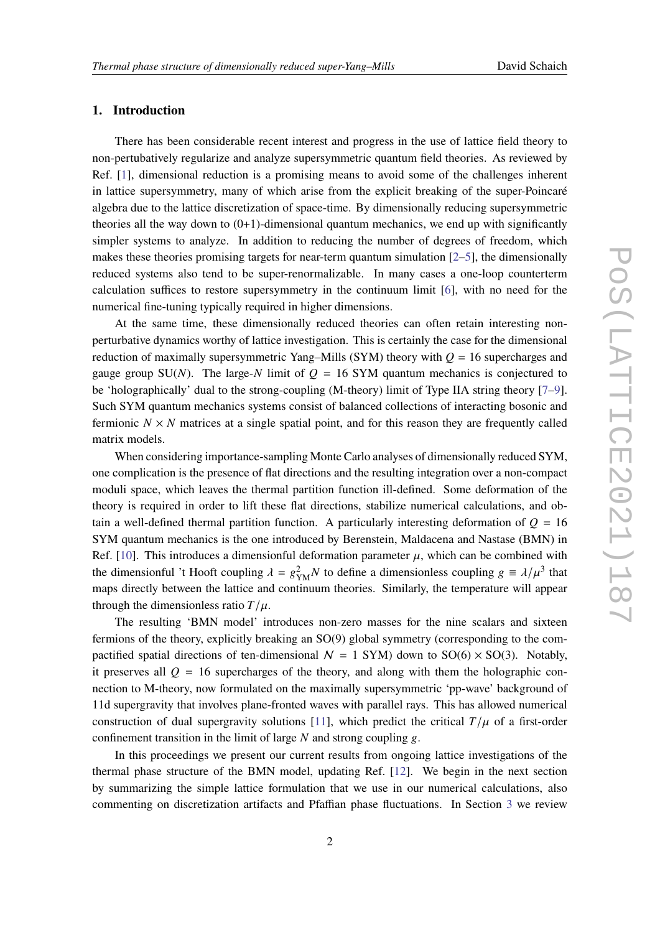### **1. Introduction**

There has been considerable recent interest and progress in the use of lattice field theory to non-pertubatively regularize and analyze supersymmetric quantum field theories. As reviewed by Ref. [\[1\]](#page-7-0), dimensional reduction is a promising means to avoid some of the challenges inherent in lattice supersymmetry, many of which arise from the explicit breaking of the super-Poincaré algebra due to the lattice discretization of space-time. By dimensionally reducing supersymmetric theories all the way down to  $(0+1)$ -dimensional quantum mechanics, we end up with significantly simpler systems to analyze. In addition to reducing the number of degrees of freedom, which makes these theories promising targets for near-term quantum simulation  $[2-5]$  $[2-5]$ , the dimensionally reduced systems also tend to be super-renormalizable. In many cases a one-loop counterterm calculation suffices to restore supersymmetry in the continuum limit [\[6\]](#page-8-1), with no need for the numerical fine-tuning typically required in higher dimensions.

At the same time, these dimensionally reduced theories can often retain interesting nonperturbative dynamics worthy of lattice investigation. This is certainly the case for the dimensional reduction of maximally supersymmetric Yang–Mills (SYM) theory with  $Q = 16$  supercharges and gauge group SU(N). The large-N limit of  $Q = 16$  SYM quantum mechanics is conjectured to be 'holographically' dual to the strong-coupling (M-theory) limit of Type IIA string theory [\[7–](#page-8-2)[9\]](#page-8-3). Such SYM quantum mechanics systems consist of balanced collections of interacting bosonic and fermionic  $N \times N$  matrices at a single spatial point, and for this reason they are frequently called matrix models.

When considering importance-sampling Monte Carlo analyses of dimensionally reduced SYM, one complication is the presence of flat directions and the resulting integration over a non-compact moduli space, which leaves the thermal partition function ill-defined. Some deformation of the theory is required in order to lift these flat directions, stabilize numerical calculations, and obtain a well-defined thermal partition function. A particularly interesting deformation of  $Q = 16$ SYM quantum mechanics is the one introduced by Berenstein, Maldacena and Nastase (BMN) in Ref. [\[10\]](#page-8-4). This introduces a dimensionful deformation parameter  $\mu$ , which can be combined with the dimensionful 't Hooft coupling  $\lambda = g_{YM}^2 N$  to define a dimensionless coupling  $g = \lambda/\mu^3$  that maps directly between the lattice and continuum theories. Similarly, the temperature will appear through the dimensionless ratio  $T/\mu$ .

The resulting 'BMN model' introduces non-zero masses for the nine scalars and sixteen fermions of the theory, explicitly breaking an SO(9) global symmetry (corresponding to the compactified spatial directions of ten-dimensional  $N = 1$  SYM) down to SO(6)  $\times$  SO(3). Notably, it preserves all  $Q = 16$  supercharges of the theory, and along with them the holographic connection to M-theory, now formulated on the maximally supersymmetric 'pp-wave' background of 11d supergravity that involves plane-fronted waves with parallel rays. This has allowed numerical construction of dual supergravity solutions [\[11\]](#page-8-5), which predict the critical  $T/\mu$  of a first-order confinement transition in the limit of large  $N$  and strong coupling  $g$ .

In this proceedings we present our current results from ongoing lattice investigations of the thermal phase structure of the BMN model, updating Ref. [\[12\]](#page-8-6). We begin in the next section by summarizing the simple lattice formulation that we use in our numerical calculations, also commenting on discretization artifacts and Pfaffian phase fluctuations. In Section [3](#page-4-0) we review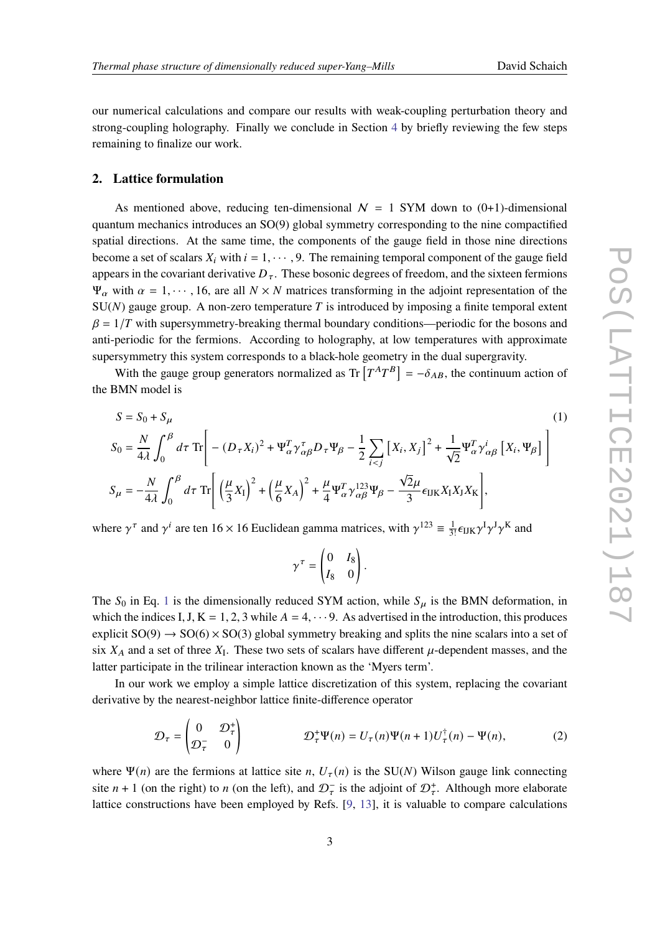our numerical calculations and compare our results with weak-coupling perturbation theory and strong-coupling holography. Finally we conclude in Section [4](#page-7-2) by briefly reviewing the few steps remaining to finalize our work.

#### **2. Lattice formulation**

As mentioned above, reducing ten-dimensional  $N = 1$  SYM down to (0+1)-dimensional quantum mechanics introduces an SO(9) global symmetry corresponding to the nine compactified spatial directions. At the same time, the components of the gauge field in those nine directions become a set of scalars  $X_i$  with  $i = 1, \dots, 9$ . The remaining temporal component of the gauge field appears in the covariant derivative  $D_{\tau}$ . These bosonic degrees of freedom, and the sixteen fermions  $\Psi_{\alpha}$  with  $\alpha = 1, \dots, 16$ , are all  $N \times N$  matrices transforming in the adjoint representation of the  $SU(N)$  gauge group. A non-zero temperature T is introduced by imposing a finite temporal extent  $\beta = 1/T$  with supersymmetry-breaking thermal boundary conditions—periodic for the bosons and anti-periodic for the fermions. According to holography, at low temperatures with approximate supersymmetry this system corresponds to a black-hole geometry in the dual supergravity.

With the gauge group generators normalized as Tr  $[T^AT^B] = -\delta_{AB}$ , the continuum action of the BMN model is

$$
S = S_0 + S_\mu
$$
\n
$$
S_0 = \frac{N}{4\lambda} \int_0^\beta d\tau \operatorname{Tr} \left[ - (D_\tau X_i)^2 + \Psi_\alpha^T \gamma_{\alpha\beta}^T D_\tau \Psi_\beta - \frac{1}{2} \sum_{i < j} \left[ X_i, X_j \right]^2 + \frac{1}{\sqrt{2}} \Psi_\alpha^T \gamma_{\alpha\beta}^i \left[ X_i, \Psi_\beta \right] \right]
$$
\n
$$
S_\mu = -\frac{N}{4\lambda} \int_0^\beta d\tau \operatorname{Tr} \left[ \left( \frac{\mu}{3} X_1 \right)^2 + \left( \frac{\mu}{6} X_A \right)^2 + \frac{\mu}{4} \Psi_\alpha^T \gamma_{\alpha\beta}^{123} \Psi_\beta - \frac{\sqrt{2}\mu}{3} \epsilon_{IJK} X_I X_J X_K \right],
$$
\n(1)

where  $\gamma^{\tau}$  and  $\gamma^{i}$  are ten 16 × 16 Euclidean gamma matrices, with  $\gamma^{123} \equiv \frac{1}{3!} \epsilon_{IJK} \gamma^{I} \gamma^{J} \gamma^{K}$  and

$$
\gamma^{\tau} = \begin{pmatrix} 0 & I_8 \\ I_8 & 0 \end{pmatrix}
$$

<span id="page-2-0"></span>.

The  $S_0$  in Eq. [1](#page-2-0) is the dimensionally reduced SYM action, while  $S_\mu$  is the BMN deformation, in which the indices I, J, K = 1, 2, 3 while  $A = 4, \dots 9$ . As advertised in the introduction, this produces explicit  $SO(9) \rightarrow SO(6) \times SO(3)$  global symmetry breaking and splits the nine scalars into a set of six  $X_A$  and a set of three  $X_I$ . These two sets of scalars have different  $\mu$ -dependent masses, and the latter participate in the trilinear interaction known as the 'Myers term'.

In our work we employ a simple lattice discretization of this system, replacing the covariant derivative by the nearest-neighbor lattice finite-difference operator

$$
\mathcal{D}_{\tau} = \begin{pmatrix} 0 & \mathcal{D}_{\tau}^{+} \\ \mathcal{D}_{\tau}^{-} & 0 \end{pmatrix} \qquad \qquad \mathcal{D}_{\tau}^{+} \Psi(n) = U_{\tau}(n) \Psi(n+1) U_{\tau}^{\dagger}(n) - \Psi(n), \qquad (2)
$$

where  $\Psi(n)$  are the fermions at lattice site n,  $U_{\tau}(n)$  is the SU(N) Wilson gauge link connecting site  $n + 1$  (on the right) to  $n$  (on the left), and  $\mathcal{D}^-$  is the adjoint of  $\mathcal{D}^+$ . Although more elaborate lattice constructions have been employed by Refs. [\[9,](#page-8-3) [13\]](#page-8-7), it is valuable to compare calculations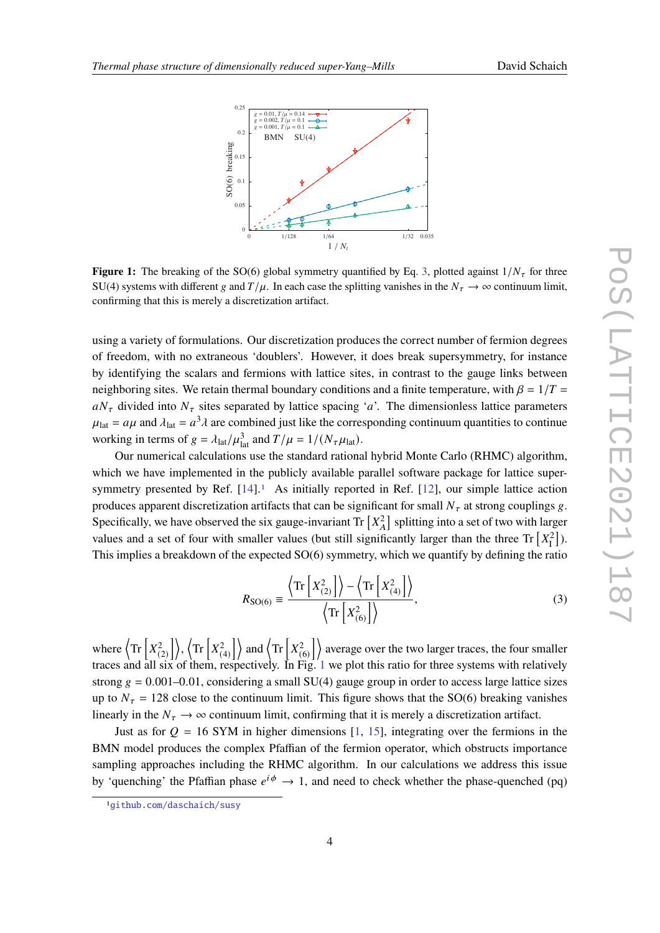<span id="page-3-2"></span>

**Figure 1:** The breaking of the SO(6) global symmetry quantified by Eq. [3,](#page-3-0) plotted against  $1/N<sub>\tau</sub>$  for three SU(4) systems with different g and  $T/\mu$ . In each case the splitting vanishes in the  $N_{\tau} \to \infty$  continuum limit, confirming that this is merely a discretization artifact.

using a variety of formulations. Our discretization produces the correct number of fermion degrees of freedom, with no extraneous 'doublers'. However, it does break supersymmetry, for instance by identifying the scalars and fermions with lattice sites, in contrast to the gauge links between neighboring sites. We retain thermal boundary conditions and a finite temperature, with  $\beta = 1/T =$  $aN_{\tau}$  divided into  $N_{\tau}$  sites separated by lattice spacing 'a'. The dimensionless lattice parameters  $\mu_{\text{lat}} = a\mu$  and  $\lambda_{\text{lat}} = a^3 \lambda$  are combined just like the corresponding continuum quantities to continue working in terms of  $g = \lambda_{\text{lat}} / \mu_{\text{lat}}^3$  and  $T/\mu = 1/(N_{\tau} \mu_{\text{lat}})$ .

Our numerical calculations use the standard rational hybrid Monte Carlo (RHMC) algorithm, which we have implemented in the publicly available parallel software package for lattice supersymmetry presented by Ref.  $[14]$ .<sup>[1](#page-3-1)</sup> As initially reported in Ref.  $[12]$ , our simple lattice action produces apparent discretization artifacts that can be significant for small  $N<sub>\tau</sub>$  at strong couplings g. Specifically, we have observed the six gauge-invariant Tr  $[X_A^2]$  splitting into a set of two with larger values and a set of four with smaller values (but still significantly larger than the three Tr  $[X_1^2]$ ). This implies a breakdown of the expected SO(6) symmetry, which we quantify by defining the ratio

<span id="page-3-0"></span>
$$
R_{\text{SO}(6)} \equiv \frac{\left\langle \text{Tr}\left[X_{(2)}^2\right]\right\rangle - \left\langle \text{Tr}\left[X_{(4)}^2\right]\right\rangle}{\left\langle \text{Tr}\left[X_{(6)}^2\right]\right\rangle},\tag{3}
$$

where  $\langle \text{Tr} \, \lbrack x^2 \rbrack$  $\binom{2}{2}$ ,  $\left\langle \text{Tr} \left[ X_{(1)}^2 \right] \right\rangle$  $\binom{2}{4}$  and  $\left\langle \text{Tr} \left[ X_{(1)}^2 \right] \right\rangle$  $\binom{2}{6}$  average over the two larger traces, the four smaller traces and all six of them, respectively. In Fig. [1](#page-3-2) we plot this ratio for three systems with relatively strong  $g = 0.001-0.01$ , considering a small SU(4) gauge group in order to access large lattice sizes up to  $N_{\tau} = 128$  close to the continuum limit. This figure shows that the SO(6) breaking vanishes linearly in the  $N_{\tau} \rightarrow \infty$  continuum limit, confirming that it is merely a discretization artifact.

Just as for  $Q = 16$  SYM in higher dimensions [\[1,](#page-7-0) [15\]](#page-8-9), integrating over the fermions in the BMN model produces the complex Pfaffian of the fermion operator, which obstructs importance sampling approaches including the RHMC algorithm. In our calculations we address this issue by 'quenching' the Pfaffian phase  $e^{i\phi} \rightarrow 1$ , and need to check whether the phase-quenched (pq)

<span id="page-3-1"></span><sup>1</sup>[github.com/daschaich/susy](https://github.com/daschaich/susy)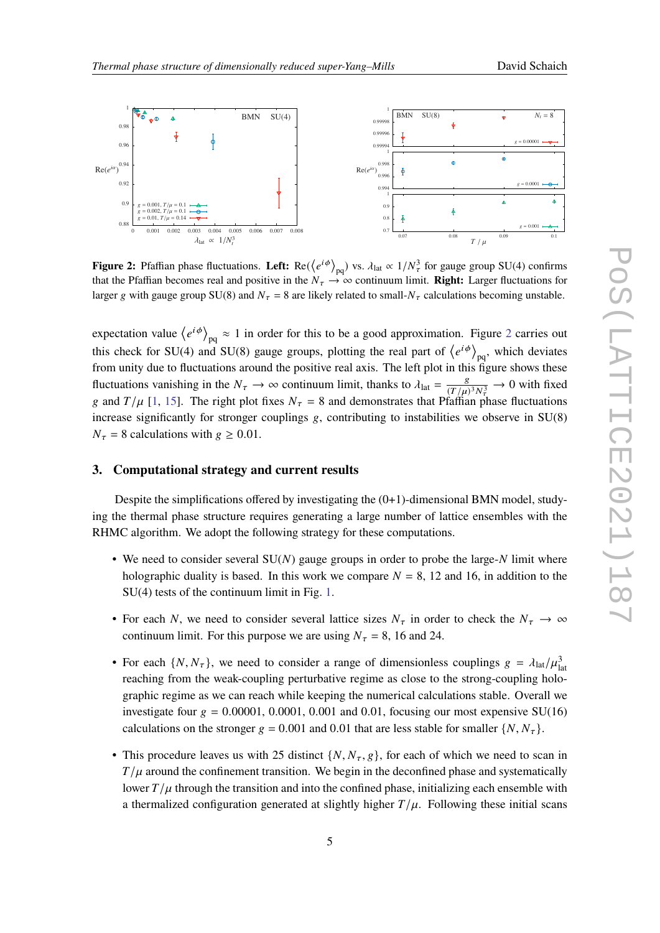<span id="page-4-1"></span>

**Figure 2:** Pfaffian phase fluctuations. Left:  $Re(\langle e^{i\phi} \rangle_{\text{no}})$  vs.  $\lambda_{\text{lat}} \propto 1/N_{\tau}^3$  for gauge group SU(4) confirms that the Pfaffian becomes real and positive in the  $N_\tau \to \infty$  continuum limit. **Right:** Larger fluctuations for larger g with gauge group SU(8) and  $N_{\tau} = 8$  are likely related to small- $N_{\tau}$  calculations becoming unstable.

expectation value  $\langle e^{i\phi} \rangle_{\text{pq}} \approx 1$  in order for this to be a good approximation. Figure [2](#page-4-1) carries out this check for SU(4) and SU(8) gauge groups, plotting the real part of  $\langle e^{i\phi} \rangle_{\text{no}}$ , which deviates from unity due to fluctuations around the positive real axis. The left plot in this figure shows these fluctuations vanishing in the  $N_{\tau} \rightarrow \infty$  continuum limit, thanks to  $\lambda_{\text{lat}} = \frac{g}{\sqrt{T_{\text{tot}}}}$  $\frac{g}{(T/\mu)^3 N_{\tau}^3} \to 0$  with fixed g and  $T/\mu$  [\[1,](#page-7-0) [15\]](#page-8-9). The right plot fixes  $N_{\tau} = 8$  and demonstrates that Pfaffian phase fluctuations increase significantly for stronger couplings  $g$ , contributing to instabilities we observe in  $SU(8)$  $N_{\tau} = 8$  calculations with  $g \ge 0.01$ .

#### <span id="page-4-0"></span>**3. Computational strategy and current results**

Despite the simplifications offered by investigating the  $(0+1)$ -dimensional BMN model, studying the thermal phase structure requires generating a large number of lattice ensembles with the RHMC algorithm. We adopt the following strategy for these computations.

- We need to consider several  $SU(N)$  gauge groups in order to probe the large-N limit where holographic duality is based. In this work we compare  $N = 8$ , 12 and 16, in addition to the SU(4) tests of the continuum limit in Fig. [1.](#page-3-2)
- For each N, we need to consider several lattice sizes  $N_{\tau}$  in order to check the  $N_{\tau} \rightarrow \infty$ continuum limit. For this purpose we are using  $N_{\tau} = 8$ , 16 and 24.
- For each  $\{N, N_{\tau}\}\$ , we need to consider a range of dimensionless couplings  $g = \lambda_{\text{lat}}/\mu_{\text{lat}}^3$ reaching from the weak-coupling perturbative regime as close to the strong-coupling holographic regime as we can reach while keeping the numerical calculations stable. Overall we investigate four  $g = 0.00001, 0.0001, 0.001$  and 0.01, focusing our most expensive SU(16) calculations on the stronger  $g = 0.001$  and 0.01 that are less stable for smaller  $\{N, N_{\tau}\}.$
- This procedure leaves us with 25 distinct  $\{N, N_{\tau}, g\}$ , for each of which we need to scan in  $T/\mu$  around the confinement transition. We begin in the deconfined phase and systematically lower  $T/\mu$  through the transition and into the confined phase, initializing each ensemble with a thermalized configuration generated at slightly higher  $T/\mu$ . Following these initial scans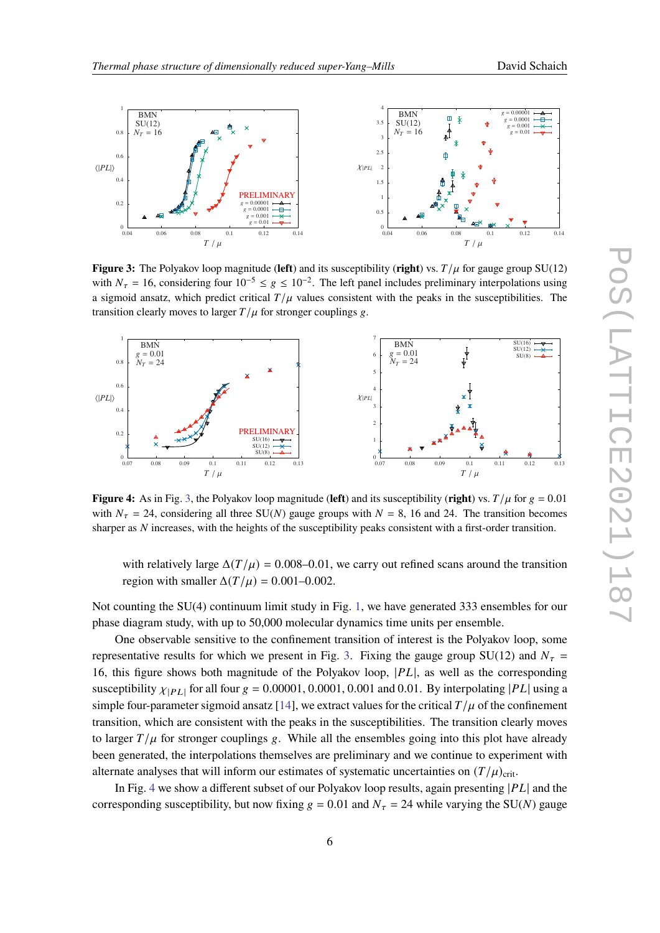<span id="page-5-0"></span>

**Figure 3:** The Polyakov loop magnitude (left) and its susceptibility (right) vs.  $T/\mu$  for gauge group SU(12) with  $N_{\tau} = 16$ , considering four  $10^{-5} \le g \le 10^{-2}$ . The left panel includes preliminary interpolations using a sigmoid ansatz, which predict critical  $T/\mu$  values consistent with the peaks in the susceptibilities. The transition clearly moves to larger  $T/\mu$  for stronger couplings g.

<span id="page-5-1"></span>

**Figure 4:** As in Fig. [3,](#page-5-0) the Polyakov loop magnitude (**left**) and its susceptibility (**right**) vs.  $T/\mu$  for  $g = 0.01$ with  $N_{\tau} = 24$ , considering all three SU(N) gauge groups with  $N = 8$ , 16 and 24. The transition becomes sharper as  $N$  increases, with the heights of the susceptibility peaks consistent with a first-order transition.

with relatively large  $\Delta(T/\mu) = 0.008$ –0.01, we carry out refined scans around the transition region with smaller  $\Delta(T/\mu) = 0.001 - 0.002$ .

Not counting the SU(4) continuum limit study in Fig. [1,](#page-3-2) we have generated 333 ensembles for our phase diagram study, with up to 50,000 molecular dynamics time units per ensemble.

One observable sensitive to the confinement transition of interest is the Polyakov loop, some representative results for which we present in Fig. [3.](#page-5-0) Fixing the gauge group SU(12) and  $N<sub>\tau</sub> =$ 16, this figure shows both magnitude of the Polyakov loop,  $|PL|$ , as well as the corresponding susceptibility  $\chi_{[PL]}$  for all four  $g = 0.00001, 0.0001, 0.001$  and 0.01. By interpolating |PL| using a simple four-parameter sigmoid ansatz [\[14\]](#page-8-8), we extract values for the critical  $T/\mu$  of the confinement transition, which are consistent with the peaks in the susceptibilities. The transition clearly moves to larger  $T/\mu$  for stronger couplings g. While all the ensembles going into this plot have already been generated, the interpolations themselves are preliminary and we continue to experiment with alternate analyses that will inform our estimates of systematic uncertainties on  $(T/\mu)_{\text{crit}}$ .

In Fig. [4](#page-5-1) we show a different subset of our Polyakov loop results, again presenting  $|PL|$  and the corresponding susceptibility, but now fixing  $g = 0.01$  and  $N<sub>\tau</sub> = 24$  while varying the SU(N) gauge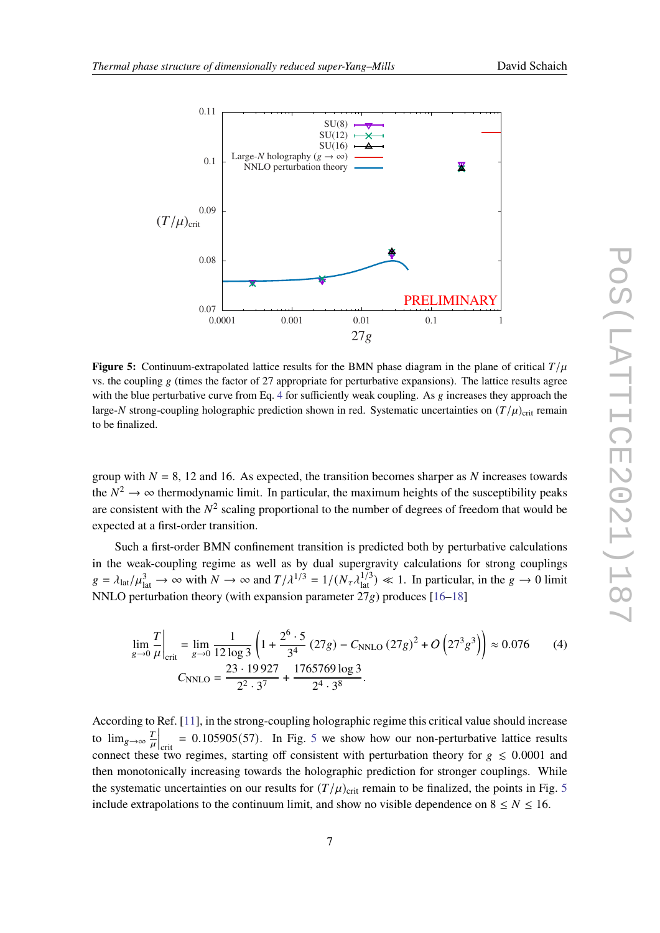<span id="page-6-1"></span>

**Figure 5:** Continuum-extrapolated lattice results for the BMN phase diagram in the plane of critical  $T/\mu$ vs. the coupling  $g$  (times the factor of 27 appropriate for perturbative expansions). The lattice results agree with the blue perturbative curve from Eq. [4](#page-6-0) for sufficiently weak coupling. As  $g$  increases they approach the large-N strong-coupling holographic prediction shown in red. Systematic uncertainties on  $(T/\mu)_{\text{crit}}$  remain to be finalized.

group with  $N = 8$ , 12 and 16. As expected, the transition becomes sharper as N increases towards the  $N^2 \to \infty$  thermodynamic limit. In particular, the maximum heights of the susceptibility peaks are consistent with the  $N^2$  scaling proportional to the number of degrees of freedom that would be expected at a first-order transition.

Such a first-order BMN confinement transition is predicted both by perturbative calculations in the weak-coupling regime as well as by dual supergravity calculations for strong couplings  $g = \lambda_{\text{lat}}/\mu_{\text{lat}}^3 \rightarrow \infty$  with  $N \rightarrow \infty$  and  $T/\lambda^{1/3} = 1/(N_{\tau} \lambda_{\text{lat}}^{1/3}) \ll 1$ . In particular, in the  $g \rightarrow 0$  limit NNLO perturbation theory (with expansion parameter  $27g$ ) produces [\[16](#page-8-10)[–18\]](#page-8-11)

<span id="page-6-0"></span>
$$
\lim_{g \to 0} \frac{T}{\mu} \bigg|_{\text{crit}} = \lim_{g \to 0} \frac{1}{12 \log 3} \left( 1 + \frac{2^6 \cdot 5}{3^4} (27g) - C_{\text{NNLO}} (27g)^2 + O\left(27^3 g^3\right) \right) \approx 0.076 \qquad (4)
$$
\n
$$
C_{\text{NNLO}} = \frac{23 \cdot 19927}{2^2 \cdot 3^7} + \frac{1765769 \log 3}{2^4 \cdot 3^8}.
$$

According to Ref. [\[11\]](#page-8-5), in the strong-coupling holographic regime this critical value should increase to  $\lim_{g\to\infty}\frac{T}{u}$  $\frac{T}{\mu}$  = 0.10[5](#page-6-1)905(57). In Fig. 5 we show how our non-perturbative lattice results connect these two regimes, starting off consistent with perturbation theory for  $g \leq 0.0001$  and then monotonically increasing towards the holographic prediction for stronger couplings. While the systematic uncertainties on our results for  $(T/\mu)_{\text{crit}}$  remain to be finalized, the points in Fig. [5](#page-6-1) include extrapolations to the continuum limit, and show no visible dependence on  $8 \le N \le 16$ .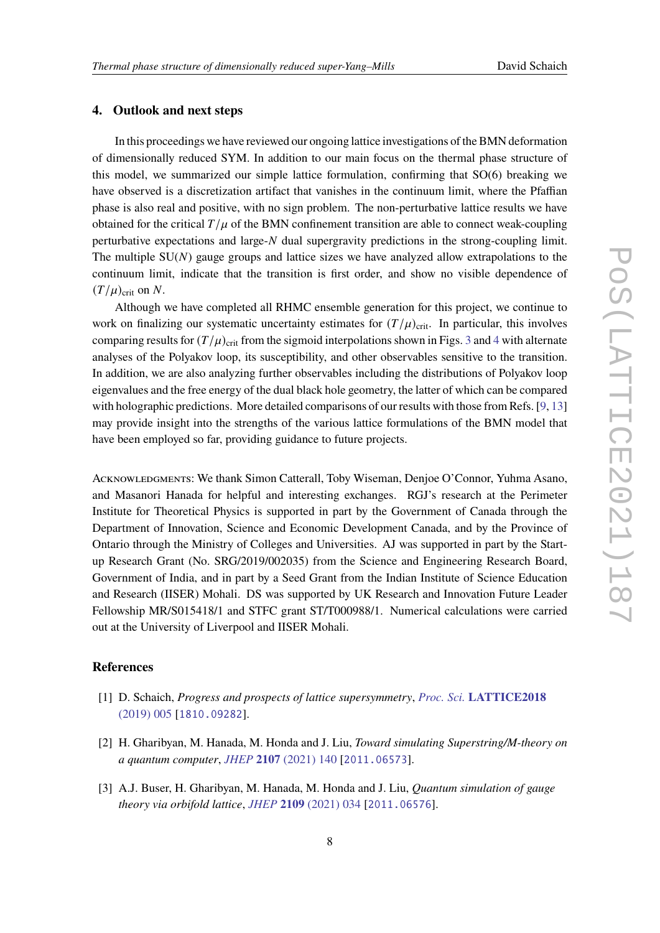#### <span id="page-7-2"></span>**4. Outlook and next steps**

In this proceedings we have reviewed our ongoing lattice investigations of the BMN deformation of dimensionally reduced SYM. In addition to our main focus on the thermal phase structure of this model, we summarized our simple lattice formulation, confirming that SO(6) breaking we have observed is a discretization artifact that vanishes in the continuum limit, where the Pfaffian phase is also real and positive, with no sign problem. The non-perturbative lattice results we have obtained for the critical  $T/\mu$  of the BMN confinement transition are able to connect weak-coupling perturbative expectations and large-N dual supergravity predictions in the strong-coupling limit. The multiple  $SU(N)$  gauge groups and lattice sizes we have analyzed allow extrapolations to the continuum limit, indicate that the transition is first order, and show no visible dependence of  $(T/\mu)_{\text{crit}}$  on N.

Although we have completed all RHMC ensemble generation for this project, we continue to work on finalizing our systematic uncertainty estimates for  $(T/\mu)_{\text{crit}}$ . In particular, this involves comparing results for  $(T/\mu)_{\text{crit}}$  from the sigmoid interpolations shown in Figs. [3](#page-5-0) and [4](#page-5-1) with alternate analyses of the Polyakov loop, its susceptibility, and other observables sensitive to the transition. In addition, we are also analyzing further observables including the distributions of Polyakov loop eigenvalues and the free energy of the dual black hole geometry, the latter of which can be compared with holographic predictions. More detailed comparisons of our results with those from Refs. [\[9,](#page-8-3) [13\]](#page-8-7) may provide insight into the strengths of the various lattice formulations of the BMN model that have been employed so far, providing guidance to future projects.

ACKNOWLEDGMENTS: We thank Simon Catterall, Toby Wiseman, Denjoe O'Connor, Yuhma Asano, and Masanori Hanada for helpful and interesting exchanges. RGJ's research at the Perimeter Institute for Theoretical Physics is supported in part by the Government of Canada through the Department of Innovation, Science and Economic Development Canada, and by the Province of Ontario through the Ministry of Colleges and Universities. AJ was supported in part by the Startup Research Grant (No. SRG/2019/002035) from the Science and Engineering Research Board, Government of India, and in part by a Seed Grant from the Indian Institute of Science Education and Research (IISER) Mohali. DS was supported by UK Research and Innovation Future Leader Fellowship MR/S015418/1 and STFC grant ST/T000988/1. Numerical calculations were carried out at the University of Liverpool and IISER Mohali.

#### **References**

- <span id="page-7-0"></span>[1] D. Schaich, *Progress and prospects of lattice supersymmetry*, *Proc. Sci.* **[LATTICE2018](https://doi.org/10.22323/1.334.0005)** [\(2019\) 005](https://doi.org/10.22323/1.334.0005) [[1810.09282](https://arxiv.org/abs/1810.09282)].
- <span id="page-7-1"></span>[2] H. Gharibyan, M. Hanada, M. Honda and J. Liu, *Toward simulating Superstring/M-theory on a quantum computer*, *JHEP* **2107** [\(2021\) 140](https://doi.org/10.1007/JHEP07(2021)140) [[2011.06573](https://arxiv.org/abs/2011.06573)].
- [3] A.J. Buser, H. Gharibyan, M. Hanada, M. Honda and J. Liu, *Quantum simulation of gauge theory via orbifold lattice*, *JHEP* **2109** [\(2021\) 034](https://doi.org/10.1007/JHEP09(2021)034) [[2011.06576](https://arxiv.org/abs/2011.06576)].